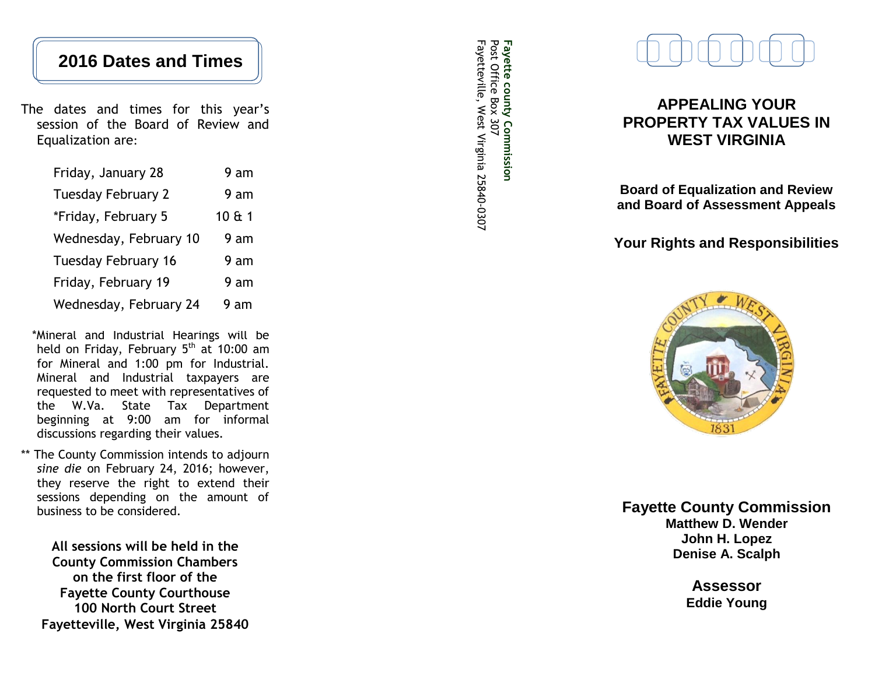# **2016 Dates and Times**

The dates and times for this year's session of the Board of Review and Equalization are :

| Friday, January 28         | 9 am   |
|----------------------------|--------|
| <b>Tuesday February 2</b>  | 9 am   |
| *Friday, February 5        | 10 & 1 |
| Wednesday, February 10     | 9 am   |
| <b>Tuesday February 16</b> | 9 am   |
| Friday, February 19        | 9 am   |
| Wednesday, February 24     | 9 am   |

\*Mineral and Industrial Hearings will be held on Friday, February  $5<sup>th</sup>$  at 10:00 am for Mineral and 1:00 pm for Industrial . Mineral and Industrial taxpayers are requested to meet with representatives of the W.Va. State Tax Department beginning at 9:00 am for informal discussions regarding their values.

The County Commission intends to adjourn sine die on February 24, 2016; however, they reserve the right to extend their sessions depending on the amount of business to be considered.

**All sessions will be held in the County Commission Chambers on the first floor of the Fayette County Courthouse 100 North Court Street Fayetteville, West Virginia 25840**

Fayette county Commission<br>Post Office Box 307 Fayetteville, West Virginia 25840-0307 Fayetteville, West Virginia 25840 Post Office Box 307 **Fayette county Commission**



## **APPEALING YOUR PROPERTY TAX VALUES IN WEST VIRGINIA**

**Board of Equalization and Review and Board of Assessment Appeals**

**Your Rights and Responsibilities**



**Fayette County Commission Matthew D. Wender John H. Lopez Denise A. Scalph**

> **Assessor Eddie Young**